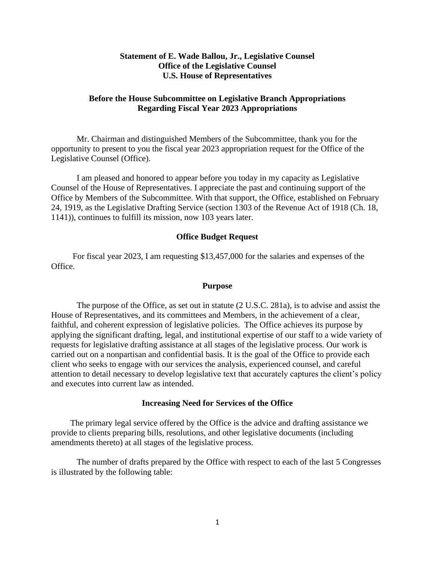# **Statement of E. Wade Ballou, Jr., Legislative Counsel Office of the Legislative Counsel U.S. House of Representatives**

# **Before the House Subcommittee on Legislative Branch Appropriations Regarding Fiscal Year 2023 Appropriations**

Mr. Chairman and distinguished Members of the Subcommittee, thank you for the opportunity to present to you the fiscal year 2023 appropriation request for the Office of the Legislative Counsel (Office).

I am pleased and honored to appear before you today in my capacity as Legislative Counsel of the House of Representatives. I appreciate the past and continuing support of the Office by Members of the Subcommittee. With that support, the Office, established on February 24, 1919, as the Legislative Drafting Service (section 1303 of the Revenue Act of 1918 (Ch. 18, 1141)), continues to fulfill its mission, now 103 years later.

#### **Office Budget Request**

For fiscal year 2023, I am requesting \$13,457,000 for the salaries and expenses of the Office.

#### **Purpose**

The purpose of the Office, as set out in statute (2 U.S.C. 281a), is to advise and assist the House of Representatives, and its committees and Members, in the achievement of a clear, faithful, and coherent expression of legislative policies. The Office achieves its purpose by applying the significant drafting, legal, and institutional expertise of our staff to a wide variety of requests for legislative drafting assistance at all stages of the legislative process. Our work is carried out on a nonpartisan and confidential basis. It is the goal of the Office to provide each client who seeks to engage with our services the analysis, experienced counsel, and careful attention to detail necessary to develop legislative text that accurately captures the client's policy and executes into current law as intended.

### **Increasing Need for Services of the Office**

The primary legal service offered by the Office is the advice and drafting assistance we provide to clients preparing bills, resolutions, and other legislative documents (including amendments thereto) at all stages of the legislative process.

The number of drafts prepared by the Office with respect to each of the last 5 Congresses is illustrated by the following table: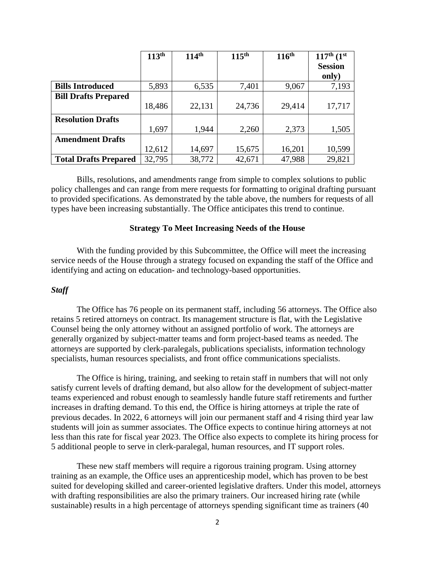|                              | 113 <sup>th</sup> | 114 <sup>th</sup> | 115 <sup>th</sup> | 116 <sup>th</sup> | $117^{th}$ $(1^{st}$ |
|------------------------------|-------------------|-------------------|-------------------|-------------------|----------------------|
|                              |                   |                   |                   |                   | <b>Session</b>       |
|                              |                   |                   |                   |                   | only)                |
| <b>Bills Introduced</b>      | 5,893             | 6,535             | 7,401             | 9,067             | 7,193                |
| <b>Bill Drafts Prepared</b>  |                   |                   |                   |                   |                      |
|                              | 18,486            | 22,131            | 24,736            | 29,414            | 17,717               |
| <b>Resolution Drafts</b>     |                   |                   |                   |                   |                      |
|                              | 1,697             | 1,944             | 2,260             | 2,373             | 1,505                |
| <b>Amendment Drafts</b>      |                   |                   |                   |                   |                      |
|                              | 12,612            | 14,697            | 15,675            | 16,201            | 10,599               |
| <b>Total Drafts Prepared</b> | 32,795            | 38,772            | 42,671            | 47,988            | 29,821               |

Bills, resolutions, and amendments range from simple to complex solutions to public policy challenges and can range from mere requests for formatting to original drafting pursuant to provided specifications. As demonstrated by the table above, the numbers for requests of all types have been increasing substantially. The Office anticipates this trend to continue.

## **Strategy To Meet Increasing Needs of the House**

With the funding provided by this Subcommittee, the Office will meet the increasing service needs of the House through a strategy focused on expanding the staff of the Office and identifying and acting on education- and technology-based opportunities.

### *Staff*

The Office has 76 people on its permanent staff, including 56 attorneys. The Office also retains 5 retired attorneys on contract. Its management structure is flat, with the Legislative Counsel being the only attorney without an assigned portfolio of work. The attorneys are generally organized by subject-matter teams and form project-based teams as needed. The attorneys are supported by clerk-paralegals, publications specialists, information technology specialists, human resources specialists, and front office communications specialists.

The Office is hiring, training, and seeking to retain staff in numbers that will not only satisfy current levels of drafting demand, but also allow for the development of subject-matter teams experienced and robust enough to seamlessly handle future staff retirements and further increases in drafting demand. To this end, the Office is hiring attorneys at triple the rate of previous decades. In 2022, 6 attorneys will join our permanent staff and 4 rising third year law students will join as summer associates. The Office expects to continue hiring attorneys at not less than this rate for fiscal year 2023. The Office also expects to complete its hiring process for 5 additional people to serve in clerk-paralegal, human resources, and IT support roles.

These new staff members will require a rigorous training program. Using attorney training as an example, the Office uses an apprenticeship model, which has proven to be best suited for developing skilled and career-oriented legislative drafters. Under this model, attorneys with drafting responsibilities are also the primary trainers. Our increased hiring rate (while sustainable) results in a high percentage of attorneys spending significant time as trainers (40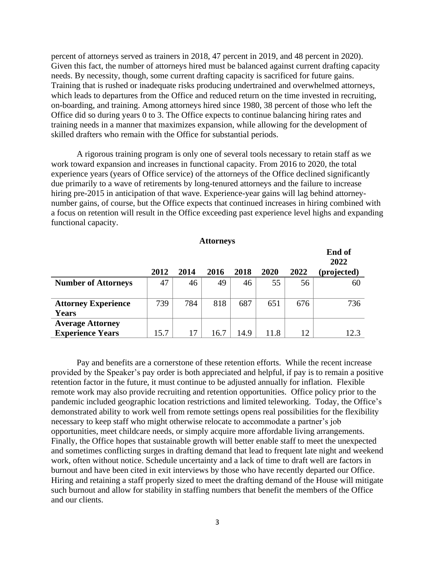percent of attorneys served as trainers in 2018, 47 percent in 2019, and 48 percent in 2020). Given this fact, the number of attorneys hired must be balanced against current drafting capacity needs. By necessity, though, some current drafting capacity is sacrificed for future gains. Training that is rushed or inadequate risks producing undertrained and overwhelmed attorneys, which leads to departures from the Office and reduced return on the time invested in recruiting, on-boarding, and training. Among attorneys hired since 1980, 38 percent of those who left the Office did so during years 0 to 3. The Office expects to continue balancing hiring rates and training needs in a manner that maximizes expansion, while allowing for the development of skilled drafters who remain with the Office for substantial periods.

A rigorous training program is only one of several tools necessary to retain staff as we work toward expansion and increases in functional capacity. From 2016 to 2020, the total experience years (years of Office service) of the attorneys of the Office declined significantly due primarily to a wave of retirements by long-tenured attorneys and the failure to increase hiring pre-2015 in anticipation of that wave. Experience-year gains will lag behind attorneynumber gains, of course, but the Office expects that continued increases in hiring combined with a focus on retention will result in the Office exceeding past experience level highs and expanding functional capacity.

**End of** 

|                                                    |      |      |      |      |      |      | End of<br>2022 |
|----------------------------------------------------|------|------|------|------|------|------|----------------|
|                                                    | 2012 | 2014 | 2016 | 2018 | 2020 | 2022 | (projected)    |
| <b>Number of Attorneys</b>                         | 47   | 46   | 49   | 46   | 55   | 56   | 60             |
| <b>Attorney Experience</b><br>Years                | 739  | 784  | 818  | 687  | 651  | 676  | 736            |
| <b>Average Attorney</b><br><b>Experience Years</b> | 15.7 | 17   | 16.7 | 14.9 | 11.8 | 12   | 12.3           |

Pay and benefits are a cornerstone of these retention efforts. While the recent increase provided by the Speaker's pay order is both appreciated and helpful, if pay is to remain a positive retention factor in the future, it must continue to be adjusted annually for inflation. Flexible remote work may also provide recruiting and retention opportunities. Office policy prior to the pandemic included geographic location restrictions and limited teleworking. Today, the Office's demonstrated ability to work well from remote settings opens real possibilities for the flexibility necessary to keep staff who might otherwise relocate to accommodate a partner's job opportunities, meet childcare needs, or simply acquire more affordable living arrangements. Finally, the Office hopes that sustainable growth will better enable staff to meet the unexpected and sometimes conflicting surges in drafting demand that lead to frequent late night and weekend work, often without notice. Schedule uncertainty and a lack of time to draft well are factors in burnout and have been cited in exit interviews by those who have recently departed our Office. Hiring and retaining a staff properly sized to meet the drafting demand of the House will mitigate such burnout and allow for stability in staffing numbers that benefit the members of the Office and our clients.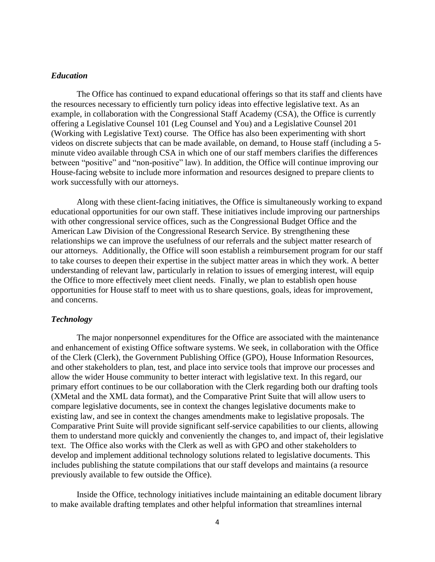## *Education*

The Office has continued to expand educational offerings so that its staff and clients have the resources necessary to efficiently turn policy ideas into effective legislative text. As an example, in collaboration with the Congressional Staff Academy (CSA), the Office is currently offering a Legislative Counsel 101 (Leg Counsel and You) and a Legislative Counsel 201 (Working with Legislative Text) course. The Office has also been experimenting with short videos on discrete subjects that can be made available, on demand, to House staff (including a 5 minute video available through CSA in which one of our staff members clarifies the differences between "positive" and "non-positive" law). In addition, the Office will continue improving our House-facing website to include more information and resources designed to prepare clients to work successfully with our attorneys.

Along with these client-facing initiatives, the Office is simultaneously working to expand educational opportunities for our own staff. These initiatives include improving our partnerships with other congressional service offices, such as the Congressional Budget Office and the American Law Division of the Congressional Research Service. By strengthening these relationships we can improve the usefulness of our referrals and the subject matter research of our attorneys. Additionally, the Office will soon establish a reimbursement program for our staff to take courses to deepen their expertise in the subject matter areas in which they work. A better understanding of relevant law, particularly in relation to issues of emerging interest, will equip the Office to more effectively meet client needs. Finally, we plan to establish open house opportunities for House staff to meet with us to share questions, goals, ideas for improvement, and concerns.

## *Technology*

The major nonpersonnel expenditures for the Office are associated with the maintenance and enhancement of existing Office software systems. We seek, in collaboration with the Office of the Clerk (Clerk), the Government Publishing Office (GPO), House Information Resources, and other stakeholders to plan, test, and place into service tools that improve our processes and allow the wider House community to better interact with legislative text. In this regard, our primary effort continues to be our collaboration with the Clerk regarding both our drafting tools (XMetal and the XML data format), and the Comparative Print Suite that will allow users to compare legislative documents, see in context the changes legislative documents make to existing law, and see in context the changes amendments make to legislative proposals. The Comparative Print Suite will provide significant self-service capabilities to our clients, allowing them to understand more quickly and conveniently the changes to, and impact of, their legislative text. The Office also works with the Clerk as well as with GPO and other stakeholders to develop and implement additional technology solutions related to legislative documents. This includes publishing the statute compilations that our staff develops and maintains (a resource previously available to few outside the Office).

Inside the Office, technology initiatives include maintaining an editable document library to make available drafting templates and other helpful information that streamlines internal